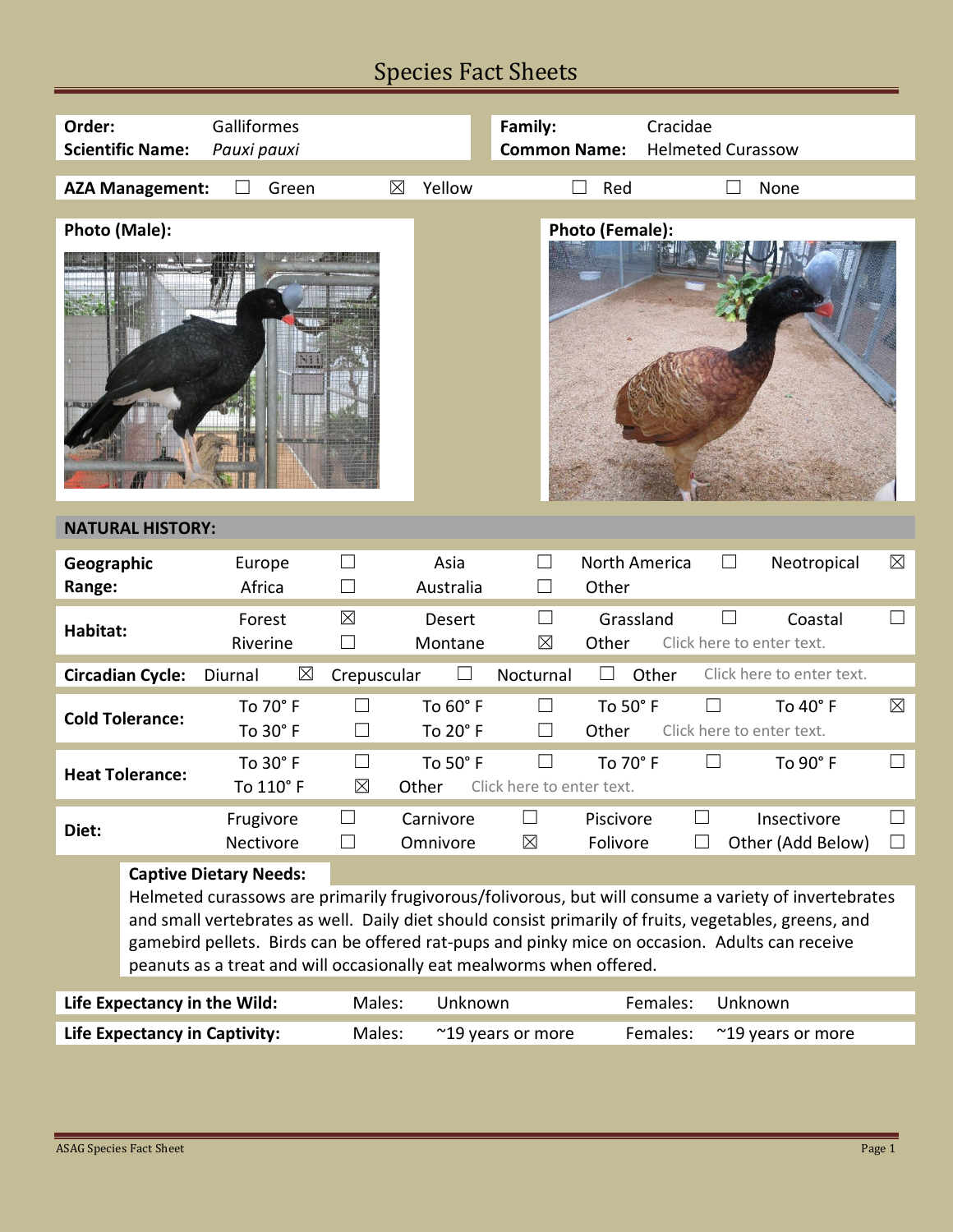## Species Fact Sheets

| Order:                               | <b>Scientific Name:</b>                                                                                                                                                                                                                                                                                                                                                                                                  | Galliformes<br>Pauxi pauxi |                        |                          | Family:<br><b>Common Name:</b>      | Cracidae               | <b>Helmeted Curassow</b>            |                                  |                        |
|--------------------------------------|--------------------------------------------------------------------------------------------------------------------------------------------------------------------------------------------------------------------------------------------------------------------------------------------------------------------------------------------------------------------------------------------------------------------------|----------------------------|------------------------|--------------------------|-------------------------------------|------------------------|-------------------------------------|----------------------------------|------------------------|
|                                      | <b>AZA Management:</b>                                                                                                                                                                                                                                                                                                                                                                                                   | Green                      | $\boxtimes$            | Yellow                   |                                     | Red                    |                                     | None                             |                        |
| Photo (Male):                        |                                                                                                                                                                                                                                                                                                                                                                                                                          |                            |                        |                          |                                     | Photo (Female):        |                                     |                                  |                        |
| <b>NATURAL HISTORY:</b>              |                                                                                                                                                                                                                                                                                                                                                                                                                          |                            |                        |                          |                                     |                        |                                     |                                  |                        |
| Geographic<br>Range:                 |                                                                                                                                                                                                                                                                                                                                                                                                                          | Europe<br>Africa           | $\mathbf{L}$<br>$\Box$ | Asia<br>Australia        |                                     | North America<br>Other |                                     | Neotropical                      | $\boxtimes$            |
| Habitat:                             |                                                                                                                                                                                                                                                                                                                                                                                                                          | Forest<br>Riverine         | $\boxtimes$<br>×       | <b>Desert</b><br>Montane | $\vert \ \ \vert$<br>$\boxtimes$    | Grassland<br>Other     | Click here to enter text.           | Coastal                          | $\vert \ \ \vert$      |
|                                      | <b>Circadian Cycle:</b>                                                                                                                                                                                                                                                                                                                                                                                                  | Diurnal<br>⊠               | Crepuscular            |                          | Nocturnal                           | Other                  |                                     | Click here to enter text.        |                        |
|                                      | <b>Cold Tolerance:</b>                                                                                                                                                                                                                                                                                                                                                                                                   | To 70° F<br>To 30° F       | $\Box$                 | To 60° F<br>To 20° F     | $\Box$<br>$\vert \ \ \vert$         | To 50° F<br>Other      | $\Box$<br>Click here to enter text. | To $40^{\circ}$ F                | $\boxtimes$            |
| <b>Heat Tolerance:</b>               |                                                                                                                                                                                                                                                                                                                                                                                                                          | To 30° F<br>To 110° F      | $\Box$<br>$\boxtimes$  | To 50° F<br>Other        | $\Box$<br>Click here to enter text. | To 70° F               |                                     | To 90° F                         | $\Box$                 |
| Diet:                                |                                                                                                                                                                                                                                                                                                                                                                                                                          | Frugivore<br>Nectivore     | $\Box$<br>H            | Carnivore<br>Omnivore    | $\blacksquare$<br>$\boxtimes$       | Piscivore<br>Folivore  |                                     | Insectivore<br>Other (Add Below) | ⊔<br>$\vert \ \ \vert$ |
|                                      | <b>Captive Dietary Needs:</b><br>Helmeted curassows are primarily frugivorous/folivorous, but will consume a variety of invertebrates<br>and small vertebrates as well. Daily diet should consist primarily of fruits, vegetables, greens, and<br>gamebird pellets. Birds can be offered rat-pups and pinky mice on occasion. Adults can receive<br>peanuts as a treat and will occasionally eat mealworms when offered. |                            |                        |                          |                                     |                        |                                     |                                  |                        |
| Life Expectancy in the Wild:         |                                                                                                                                                                                                                                                                                                                                                                                                                          |                            | Males:                 | Unknown                  |                                     | Females:<br>Unknown    |                                     |                                  |                        |
| <b>Life Expectancy in Captivity:</b> |                                                                                                                                                                                                                                                                                                                                                                                                                          |                            | Males:                 |                          | ~19 years or more                   | Females:               |                                     | ~19 years or more                |                        |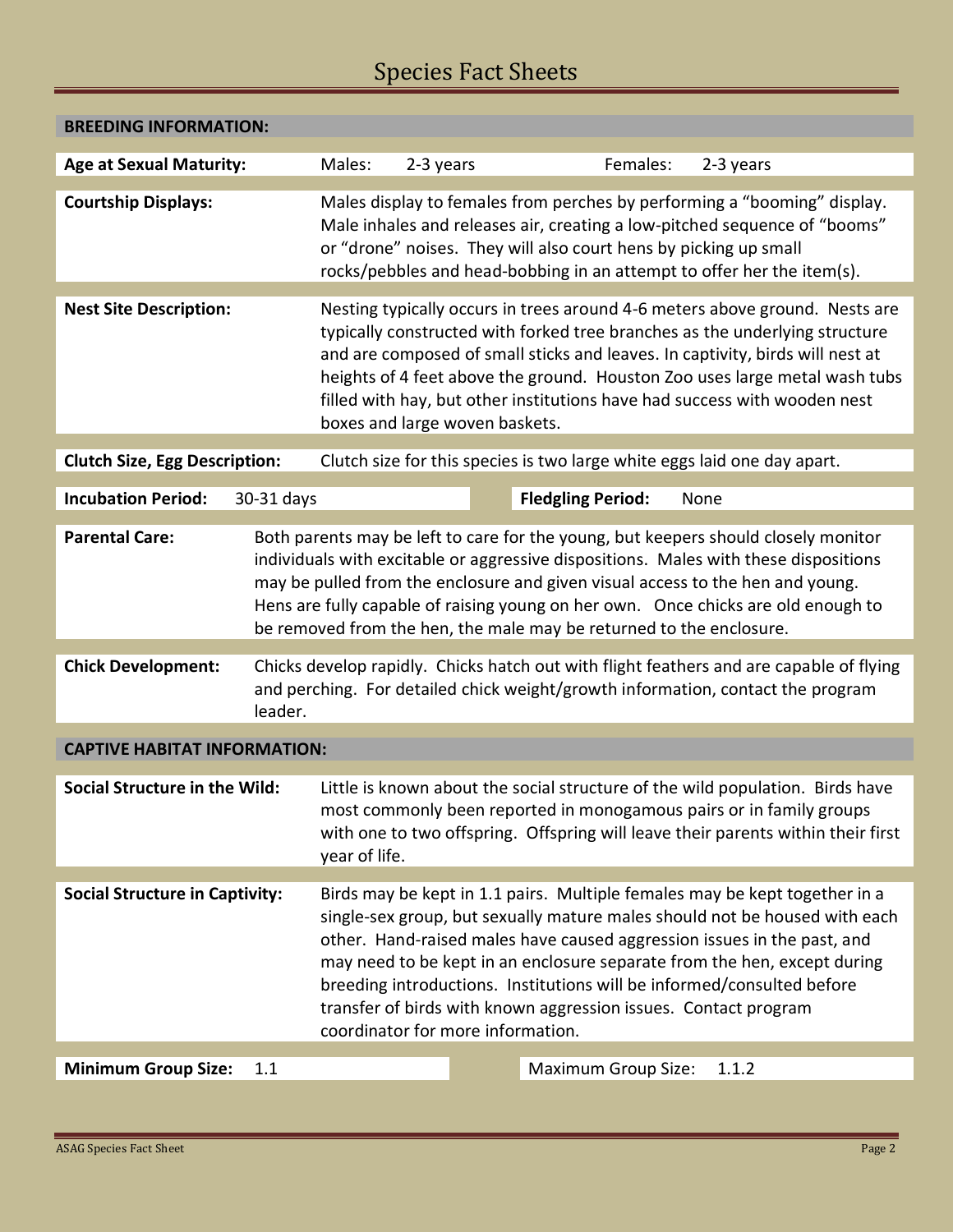## Species Fact Sheets

| <b>BREEDING INFORMATION:</b>                                                                                                                                                                                                                                                                                                                                                                                                                      |                                                                                                                                                                                                                                                                                                                                                                                                                                                                                                   |                                                                          |  |          |                                                                                                                                                                                                                                                                                                                                                                                                        |       |  |
|---------------------------------------------------------------------------------------------------------------------------------------------------------------------------------------------------------------------------------------------------------------------------------------------------------------------------------------------------------------------------------------------------------------------------------------------------|---------------------------------------------------------------------------------------------------------------------------------------------------------------------------------------------------------------------------------------------------------------------------------------------------------------------------------------------------------------------------------------------------------------------------------------------------------------------------------------------------|--------------------------------------------------------------------------|--|----------|--------------------------------------------------------------------------------------------------------------------------------------------------------------------------------------------------------------------------------------------------------------------------------------------------------------------------------------------------------------------------------------------------------|-------|--|
| <b>Age at Sexual Maturity:</b>                                                                                                                                                                                                                                                                                                                                                                                                                    | Males:                                                                                                                                                                                                                                                                                                                                                                                                                                                                                            | 2-3 years                                                                |  | Females: | 2-3 years                                                                                                                                                                                                                                                                                                                                                                                              |       |  |
| <b>Courtship Displays:</b>                                                                                                                                                                                                                                                                                                                                                                                                                        |                                                                                                                                                                                                                                                                                                                                                                                                                                                                                                   |                                                                          |  |          | Males display to females from perches by performing a "booming" display.<br>Male inhales and releases air, creating a low-pitched sequence of "booms"<br>or "drone" noises. They will also court hens by picking up small<br>rocks/pebbles and head-bobbing in an attempt to offer her the item(s).                                                                                                    |       |  |
| <b>Nest Site Description:</b>                                                                                                                                                                                                                                                                                                                                                                                                                     |                                                                                                                                                                                                                                                                                                                                                                                                                                                                                                   | boxes and large woven baskets.                                           |  |          | Nesting typically occurs in trees around 4-6 meters above ground. Nests are<br>typically constructed with forked tree branches as the underlying structure<br>and are composed of small sticks and leaves. In captivity, birds will nest at<br>heights of 4 feet above the ground. Houston Zoo uses large metal wash tubs<br>filled with hay, but other institutions have had success with wooden nest |       |  |
| <b>Clutch Size, Egg Description:</b>                                                                                                                                                                                                                                                                                                                                                                                                              |                                                                                                                                                                                                                                                                                                                                                                                                                                                                                                   | Clutch size for this species is two large white eggs laid one day apart. |  |          |                                                                                                                                                                                                                                                                                                                                                                                                        |       |  |
| <b>Incubation Period:</b><br>30-31 days                                                                                                                                                                                                                                                                                                                                                                                                           | <b>Fledgling Period:</b><br>None                                                                                                                                                                                                                                                                                                                                                                                                                                                                  |                                                                          |  |          |                                                                                                                                                                                                                                                                                                                                                                                                        |       |  |
| <b>Parental Care:</b><br>Both parents may be left to care for the young, but keepers should closely monitor<br>individuals with excitable or aggressive dispositions. Males with these dispositions<br>may be pulled from the enclosure and given visual access to the hen and young.<br>Hens are fully capable of raising young on her own. Once chicks are old enough to<br>be removed from the hen, the male may be returned to the enclosure. |                                                                                                                                                                                                                                                                                                                                                                                                                                                                                                   |                                                                          |  |          |                                                                                                                                                                                                                                                                                                                                                                                                        |       |  |
| <b>Chick Development:</b>                                                                                                                                                                                                                                                                                                                                                                                                                         | Chicks develop rapidly. Chicks hatch out with flight feathers and are capable of flying<br>and perching. For detailed chick weight/growth information, contact the program<br>leader.                                                                                                                                                                                                                                                                                                             |                                                                          |  |          |                                                                                                                                                                                                                                                                                                                                                                                                        |       |  |
| <b>CAPTIVE HABITAT INFORMATION:</b>                                                                                                                                                                                                                                                                                                                                                                                                               |                                                                                                                                                                                                                                                                                                                                                                                                                                                                                                   |                                                                          |  |          |                                                                                                                                                                                                                                                                                                                                                                                                        |       |  |
| <b>Social Structure in the Wild:</b>                                                                                                                                                                                                                                                                                                                                                                                                              | Little is known about the social structure of the wild population. Birds have<br>most commonly been reported in monogamous pairs or in family groups<br>with one to two offspring. Offspring will leave their parents within their first<br>year of life.                                                                                                                                                                                                                                         |                                                                          |  |          |                                                                                                                                                                                                                                                                                                                                                                                                        |       |  |
| <b>Social Structure in Captivity:</b>                                                                                                                                                                                                                                                                                                                                                                                                             | Birds may be kept in 1.1 pairs. Multiple females may be kept together in a<br>single-sex group, but sexually mature males should not be housed with each<br>other. Hand-raised males have caused aggression issues in the past, and<br>may need to be kept in an enclosure separate from the hen, except during<br>breeding introductions. Institutions will be informed/consulted before<br>transfer of birds with known aggression issues. Contact program<br>coordinator for more information. |                                                                          |  |          |                                                                                                                                                                                                                                                                                                                                                                                                        |       |  |
| <b>Minimum Group Size:</b>                                                                                                                                                                                                                                                                                                                                                                                                                        | 1.1                                                                                                                                                                                                                                                                                                                                                                                                                                                                                               |                                                                          |  |          | <b>Maximum Group Size:</b>                                                                                                                                                                                                                                                                                                                                                                             | 1.1.2 |  |